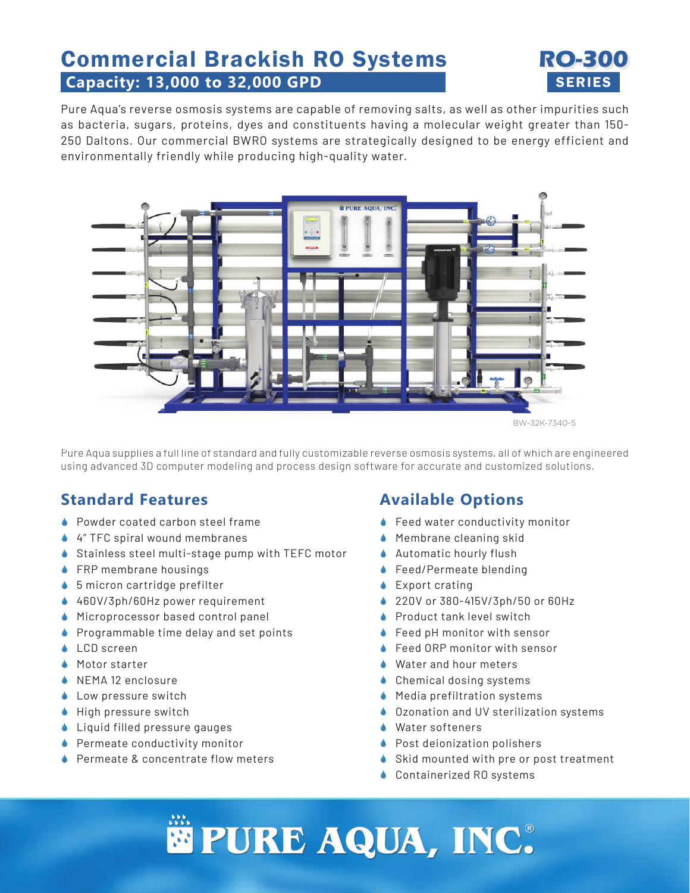# Commercial Brackish RO Systems **RO-300 Capacity: 13,000 to 32,000 GPD** SERIES



Pure Aqua's reverse osmosis systems are capable of removing salts, as well as other impurities such as bacteria, sugars, proteins, dyes and constituents having a molecular weight greater than 150- 250 Daltons. Our commercial BWRO systems are strategically designed to be energy efficient and environmentally friendly while producing high-quality water.



BW-32K-7340-5

Pure Aqua supplies a full line of standard and fully customizable reverse osmosis systems, all of which are engineered using advanced 3D computer modeling and process design software for accurate and customized solutions.

#### **Standard Features**

- ♦ Powder coated carbon steel frame
- ◆ 4″ TFC spiral wound membranes
- ♦ Stainless steel multi-stage pump with TEFC motor
- **◆ FRP membrane housings**
- ◆ 5 micron cartridge prefilter
- ◆ 460V/3ph/60Hz power requirement
- ◆ Microprocessor based control panel
- **Programmable time delay and set points**
- **↓** LCD screen
- **Motor starter**
- NEMA 12 enclosure
- **Low pressure switch**
- $\bullet$  High pressure switch
- ◆ Liquid filled pressure gauges
- **Permeate conductivity monitor**
- ♦ Permeate & concentrate flow meters

### **Available Options**

- ◆ Feed water conductivity monitor
- **Membrane cleaning skid**
- **Automatic hourly flush**
- ◆ Feed/Permeate blending
- **↓** Export crating
- 220V or 380-415V/3ph/50 or 60Hz
- **•** Product tank level switch
- ◆ Feed pH monitor with sensor
- ◆ Feed ORP monitor with sensor
- **◆** Water and hour meters
- **↓** Chemical dosing systems
- ◆ Media prefiltration systems
- ♦ Ozonation and UV sterilization systems
- **↓** Water softeners
- **Post deionization polishers**
- Skid mounted with pre or post treatment
- **↓ Containerized RO systems**